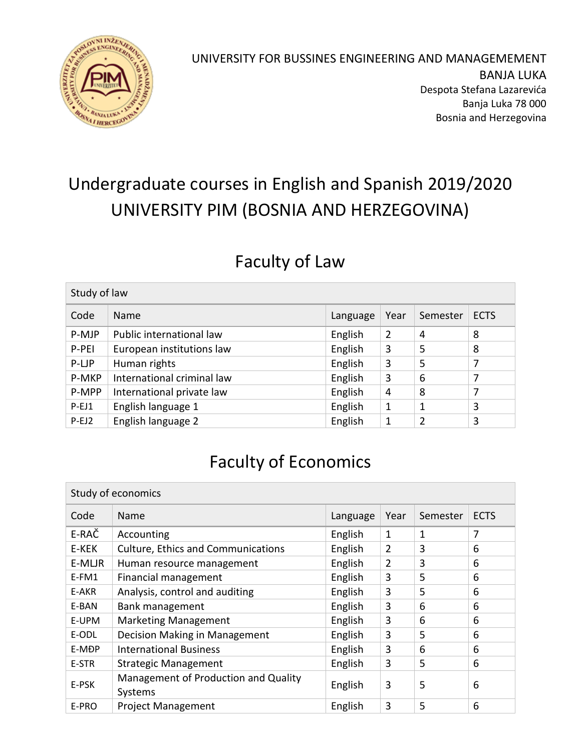

#### UNIVERSITY FOR BUSSINES ENGINEERING AND MANAGEMEMENT BANJA LUKA Despota Stefana Lazarevića Banja Luka 78 000 Bosnia and Herzegovina

# Undergraduate courses in English and Spanish 2019/2020 UNIVERSITY PIM (BOSNIA AND HERZEGOVINA)

#### Faculty of Law

| Study of law |                            |          |      |          |             |
|--------------|----------------------------|----------|------|----------|-------------|
| Code         | <b>Name</b>                | Language | Year | Semester | <b>ECTS</b> |
| P-MJP        | Public international law   | English  | 2    | 4        | 8           |
| P-PEI        | European institutions law  | English  | 3    | 5        | 8           |
| P-LJP        | Human rights               | English  | 3    | 5        | 7           |
| P-MKP        | International criminal law | English  | 3    | 6        | 7           |
| P-MPP        | International private law  | English  | 4    | 8        | 7           |
| $P-EJ1$      | English language 1         | English  | 1    | 1        | 3           |
| $P-EJ2$      | English language 2         | English  | 1    | 2        | 3           |

### Faculty of Economics

| Study of economics |                                                 |          |                |          |             |
|--------------------|-------------------------------------------------|----------|----------------|----------|-------------|
| Code               | Name                                            | Language | Year           | Semester | <b>ECTS</b> |
| E-RAČ              | Accounting                                      | English  | 1              | 1        | 7           |
| E-KEK              | <b>Culture, Ethics and Communications</b>       | English  | $\overline{2}$ | 3        | 6           |
| E-MLJR             | Human resource management                       | English  | $\overline{2}$ | 3        | 6           |
| E-FM1              | Financial management                            | English  | 3              | 5        | 6           |
| E-AKR              | Analysis, control and auditing                  | English  | 3              | 5        | 6           |
| E-BAN              | Bank management                                 | English  | 3              | 6        | 6           |
| E-UPM              | <b>Marketing Management</b>                     | English  | 3              | 6        | 6           |
| E-ODL              | Decision Making in Management                   | English  | 3              | 5        | 6           |
| E-MĐP              | <b>International Business</b>                   | English  | 3              | 6        | 6           |
| E-STR              | <b>Strategic Management</b>                     | English  | 3              | 5        | 6           |
| E-PSK              | Management of Production and Quality<br>Systems | English  | 3              | 5        | 6           |
| E-PRO              | <b>Project Management</b>                       | English  | 3              | 5        | 6           |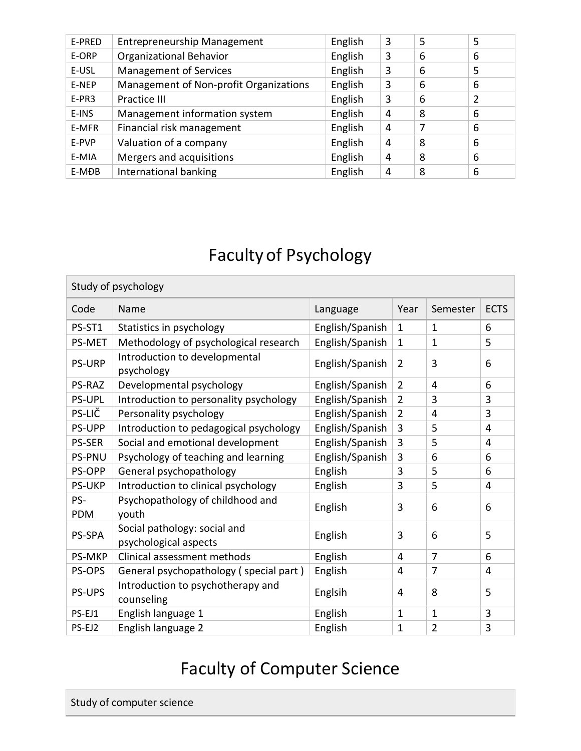| E-PRED | <b>Entrepreneurship Management</b>     | English | 3 | 5 | 5 |
|--------|----------------------------------------|---------|---|---|---|
| E-ORP  | <b>Organizational Behavior</b>         | English | 3 | 6 | 6 |
| E-USL  | <b>Management of Services</b>          | English | 3 | 6 | 5 |
| E-NEP  | Management of Non-profit Organizations | English | 3 | 6 | 6 |
| E-PR3  | Practice III                           | English | 3 | 6 | 2 |
| E-INS  | Management information system          | English | 4 | 8 | 6 |
| E-MFR  | Financial risk management              | English | 4 | 7 | 6 |
| E-PVP  | Valuation of a company                 | English | 4 | 8 | 6 |
| E-MIA  | Mergers and acquisitions               | English | 4 | 8 | 6 |
| E-MĐB  | International banking                  | English | 4 | 8 | 6 |

# Facultyof Psychology

| Study of psychology |                                                       |                 |                |                |             |
|---------------------|-------------------------------------------------------|-----------------|----------------|----------------|-------------|
| Code                | Name                                                  | Language        | Year           | Semester       | <b>ECTS</b> |
| PS-ST1              | Statistics in psychology                              | English/Spanish | $\mathbf{1}$   | 1              | 6           |
| PS-MET              | Methodology of psychological research                 | English/Spanish | $\mathbf{1}$   | 1              | 5           |
| <b>PS-URP</b>       | Introduction to developmental<br>psychology           | English/Spanish | $\overline{2}$ | 3              | 6           |
| PS-RAZ              | Developmental psychology                              | English/Spanish | $\overline{2}$ | 4              | 6           |
| <b>PS-UPL</b>       | Introduction to personality psychology                | English/Spanish | $\overline{2}$ | 3              | 3           |
| PS-LIČ              | Personality psychology                                | English/Spanish | $\overline{2}$ | 4              | 3           |
| PS-UPP              | Introduction to pedagogical psychology                | English/Spanish | 3              | 5              | 4           |
| <b>PS-SER</b>       | Social and emotional development                      | English/Spanish | 3              | 5              | 4           |
| <b>PS-PNU</b>       | Psychology of teaching and learning                   | English/Spanish | 3              | 6              | 6           |
| PS-OPP              | General psychopathology                               | English         | 3              | 5              | 6           |
| <b>PS-UKP</b>       | Introduction to clinical psychology                   | English         | 3              | 5              | 4           |
| PS-<br>PDM          | Psychopathology of childhood and<br>youth             | English         | 3              | 6              | 6           |
| PS-SPA              | Social pathology: social and<br>psychological aspects | English         | 3              | 6              | 5           |
| <b>PS-MKP</b>       | Clinical assessment methods                           | English         | 4              | $\overline{7}$ | 6           |
| PS-OPS              | General psychopathology (special part)                | English         | 4              | 7              | 4           |
| PS-UPS              | Introduction to psychotherapy and<br>counseling       | Englsih         | 4              | 8              | 5           |
| PS-EJ1              | English language 1                                    | English         | $\mathbf{1}$   | 1              | 3           |
| PS-EJ2              | English language 2                                    | English         | 1              | $\overline{2}$ | 3           |

## Faculty of Computer Science

Study of computer science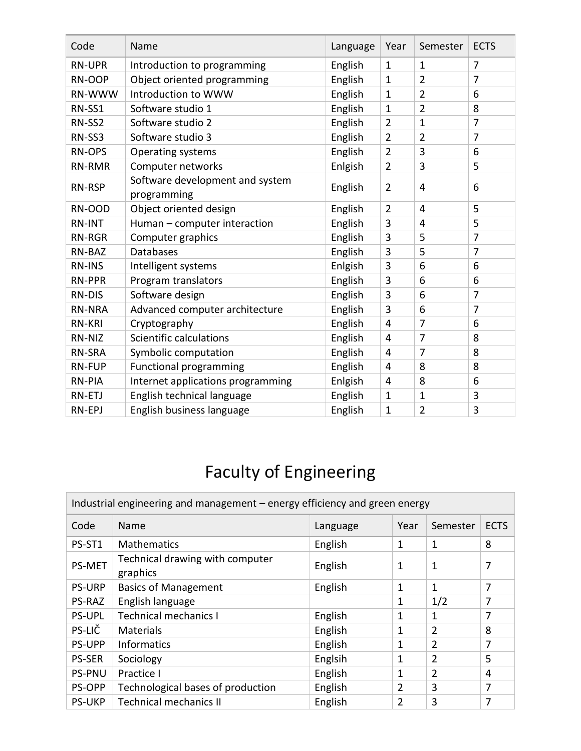| Code          | Name                                           | Language | Year           | Semester       | <b>ECTS</b>    |
|---------------|------------------------------------------------|----------|----------------|----------------|----------------|
| <b>RN-UPR</b> | Introduction to programming                    | English  | 1              | $\mathbf{1}$   | 7              |
| RN-OOP        | Object oriented programming                    | English  | $\mathbf{1}$   | $\overline{2}$ | 7              |
| RN-WWW        | Introduction to WWW                            | English  | $\mathbf{1}$   | $\overline{2}$ | 6              |
| RN-SS1        | Software studio 1                              | English  | $\mathbf{1}$   | $\overline{2}$ | 8              |
| RN-SS2        | Software studio 2                              | English  | $\overline{2}$ | $\mathbf{1}$   | 7              |
| RN-SS3        | Software studio 3                              | English  | $\overline{2}$ | $\overline{2}$ | $\overline{7}$ |
| <b>RN-OPS</b> | Operating systems                              | English  | $\overline{2}$ | 3              | 6              |
| RN-RMR        | Computer networks                              | Enlgish  | $\overline{2}$ | 3              | 5              |
| <b>RN-RSP</b> | Software development and system<br>programming | English  | $\overline{2}$ | 4              | 6              |
| RN-OOD        | Object oriented design                         | English  | $\overline{2}$ | 4              | 5              |
| <b>RN-INT</b> | Human - computer interaction                   | English  | 3              | 4              | 5              |
| RN-RGR        | Computer graphics                              | English  | 3              | 5              | $\overline{7}$ |
| RN-BAZ        | <b>Databases</b>                               | English  | 3              | 5              | 7              |
| <b>RN-INS</b> | Intelligent systems                            | Enlgish  | 3              | 6              | 6              |
| <b>RN-PPR</b> | Program translators                            | English  | 3              | 6              | 6              |
| <b>RN-DIS</b> | Software design                                | English  | 3              | 6              | 7              |
| <b>RN-NRA</b> | Advanced computer architecture                 | English  | 3              | 6              | 7              |
| <b>RN-KRI</b> | Cryptography                                   | English  | $\overline{4}$ | 7              | 6              |
| RN-NIZ        | Scientific calculations                        | English  | 4              | 7              | 8              |
| <b>RN-SRA</b> | Symbolic computation                           | English  | $\overline{4}$ | $\overline{7}$ | 8              |
| <b>RN-FUP</b> | <b>Functional programming</b>                  | English  | 4              | 8              | 8              |
| RN-PIA        | Internet applications programming              | Enlgish  | 4              | 8              | 6              |
| RN-ETJ        | English technical language                     | English  | $\mathbf{1}$   | $\mathbf{1}$   | 3              |
| RN-EPJ        | English business language                      | English  | $\mathbf 1$    | $\overline{2}$ | 3              |

# Faculty of Engineering

| Industrial engineering and management – energy efficiency and green energy |                                             |          |                |                |             |  |
|----------------------------------------------------------------------------|---------------------------------------------|----------|----------------|----------------|-------------|--|
| Code                                                                       | Name                                        | Language | Year           | Semester       | <b>ECTS</b> |  |
| PS-ST1                                                                     | Mathematics                                 | English  | 1              | 1              | 8           |  |
| <b>PS-MET</b>                                                              | Technical drawing with computer<br>graphics | English  | 1              | $\mathbf 1$    | 7           |  |
| <b>PS-URP</b>                                                              | <b>Basics of Management</b>                 | English  | 1              | 1              | 7           |  |
| <b>PS-RAZ</b>                                                              | English language                            |          | 1              | 1/2            | 7           |  |
| <b>PS-UPL</b>                                                              | <b>Technical mechanics I</b>                | English  | 1              | 1              | 7           |  |
| PS-LIČ                                                                     | Materials                                   | English  | 1              | $\overline{2}$ | 8           |  |
| <b>PS-UPP</b>                                                              | <b>Informatics</b>                          | English  | 1              | $\overline{2}$ | 7           |  |
| <b>PS-SER</b>                                                              | Sociology                                   | Englsih  | 1              | $\overline{2}$ | 5           |  |
| <b>PS-PNU</b>                                                              | Practice I                                  | English  | 1              | $\overline{2}$ | 4           |  |
| PS-OPP                                                                     | Technological bases of production           | English  | 2              | 3              | 7           |  |
| <b>PS-UKP</b>                                                              | <b>Technical mechanics II</b>               | English  | $\overline{2}$ | 3              | 7           |  |